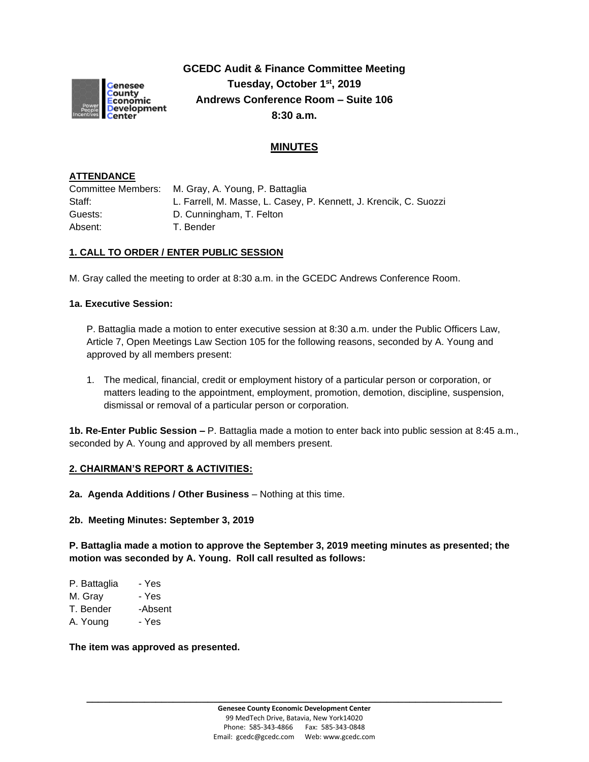

**GCEDC Audit & Finance Committee Meeting Tuesday, October 1st , 2019 Andrews Conference Room – Suite 106 8:30 a.m.**

# **MINUTES**

### **ATTENDANCE**

Committee Members: M. Gray, A. Young, P. Battaglia Staff: L. Farrell, M. Masse, L. Casey, P. Kennett, J. Krencik, C. Suozzi Guests: D. Cunningham, T. Felton Absent: T. Bender

#### **1. CALL TO ORDER / ENTER PUBLIC SESSION**

M. Gray called the meeting to order at 8:30 a.m. in the GCEDC Andrews Conference Room.

## **1a. Executive Session:**

P. Battaglia made a motion to enter executive session at 8:30 a.m. under the Public Officers Law, Article 7, Open Meetings Law Section 105 for the following reasons, seconded by A. Young and approved by all members present:

1. The medical, financial, credit or employment history of a particular person or corporation, or matters leading to the appointment, employment, promotion, demotion, discipline, suspension, dismissal or removal of a particular person or corporation.

**1b. Re-Enter Public Session –** P. Battaglia made a motion to enter back into public session at 8:45 a.m., seconded by A. Young and approved by all members present.

#### **2. CHAIRMAN'S REPORT & ACTIVITIES:**

**2a. Agenda Additions / Other Business** – Nothing at this time.

**2b. Meeting Minutes: September 3, 2019**

**P. Battaglia made a motion to approve the September 3, 2019 meeting minutes as presented; the motion was seconded by A. Young. Roll call resulted as follows:**

| - Yes   |
|---------|
| - Yes   |
| -Absent |
| - Yes   |
|         |

**The item was approved as presented.**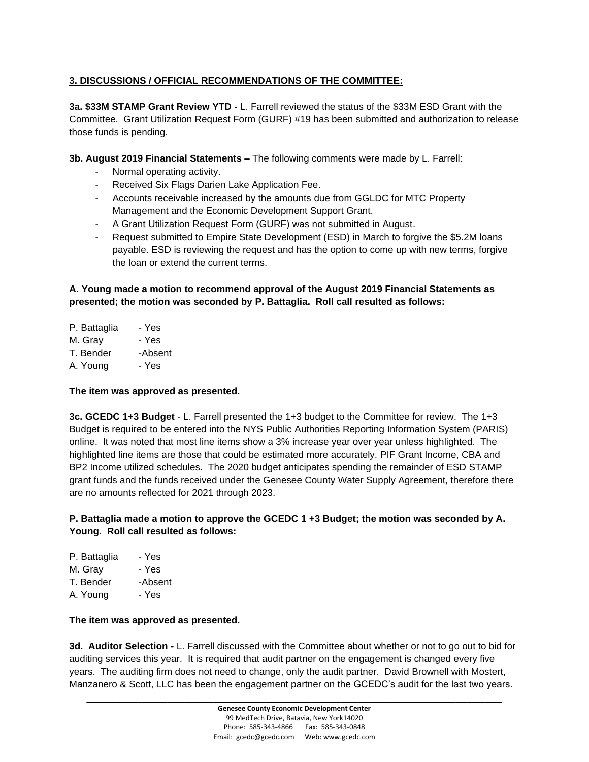## **3. DISCUSSIONS / OFFICIAL RECOMMENDATIONS OF THE COMMITTEE:**

**3a. \$33M STAMP Grant Review YTD -** L. Farrell reviewed the status of the \$33M ESD Grant with the Committee. Grant Utilization Request Form (GURF) #19 has been submitted and authorization to release those funds is pending.

**3b. August 2019 Financial Statements –** The following comments were made by L. Farrell:

- Normal operating activity.
- Received Six Flags Darien Lake Application Fee.
- Accounts receivable increased by the amounts due from GGLDC for MTC Property Management and the Economic Development Support Grant.
- A Grant Utilization Request Form (GURF) was not submitted in August.
- Request submitted to Empire State Development (ESD) in March to forgive the \$5.2M loans payable. ESD is reviewing the request and has the option to come up with new terms, forgive the loan or extend the current terms.

## **A. Young made a motion to recommend approval of the August 2019 Financial Statements as presented; the motion was seconded by P. Battaglia. Roll call resulted as follows:**

P. Battaglia - Yes M. Gray - Yes T. Bender -Absent A. Young - Yes

### **The item was approved as presented.**

**3c. GCEDC 1+3 Budget** - L. Farrell presented the 1+3 budget to the Committee for review. The 1+3 Budget is required to be entered into the NYS Public Authorities Reporting Information System (PARIS) online. It was noted that most line items show a 3% increase year over year unless highlighted. The highlighted line items are those that could be estimated more accurately. PIF Grant Income, CBA and BP2 Income utilized schedules. The 2020 budget anticipates spending the remainder of ESD STAMP grant funds and the funds received under the Genesee County Water Supply Agreement, therefore there are no amounts reflected for 2021 through 2023.

## **P. Battaglia made a motion to approve the GCEDC 1 +3 Budget; the motion was seconded by A. Young. Roll call resulted as follows:**

| P. Battaglia | - Yes   |
|--------------|---------|
| M. Gray      | - Yes   |
| T. Bender    | -Absent |
| A. Young     | - Yes   |

### **The item was approved as presented.**

**3d. Auditor Selection -** L. Farrell discussed with the Committee about whether or not to go out to bid for auditing services this year. It is required that audit partner on the engagement is changed every five years. The auditing firm does not need to change, only the audit partner. David Brownell with Mostert, Manzanero & Scott, LLC has been the engagement partner on the GCEDC's audit for the last two years.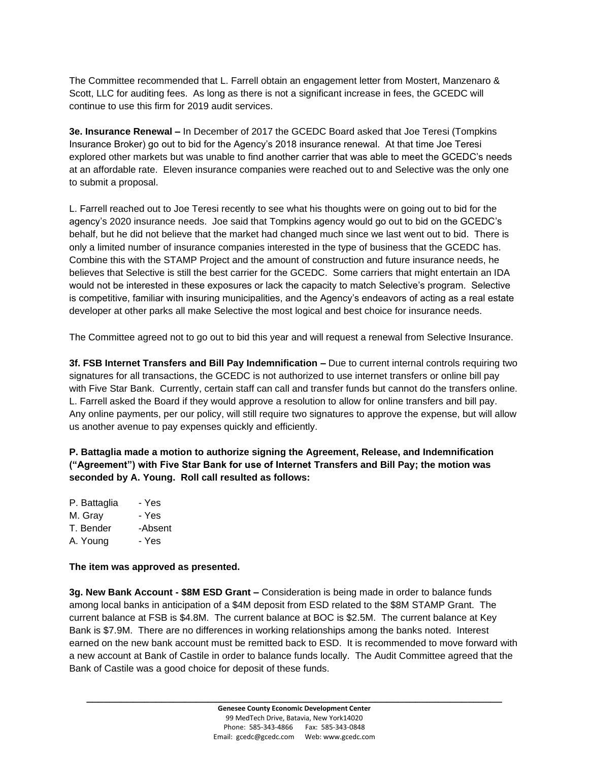The Committee recommended that L. Farrell obtain an engagement letter from Mostert, Manzenaro & Scott, LLC for auditing fees. As long as there is not a significant increase in fees, the GCEDC will continue to use this firm for 2019 audit services.

**3e. Insurance Renewal –** In December of 2017 the GCEDC Board asked that Joe Teresi (Tompkins Insurance Broker) go out to bid for the Agency's 2018 insurance renewal. At that time Joe Teresi explored other markets but was unable to find another carrier that was able to meet the GCEDC's needs at an affordable rate. Eleven insurance companies were reached out to and Selective was the only one to submit a proposal.

L. Farrell reached out to Joe Teresi recently to see what his thoughts were on going out to bid for the agency's 2020 insurance needs. Joe said that Tompkins agency would go out to bid on the GCEDC's behalf, but he did not believe that the market had changed much since we last went out to bid. There is only a limited number of insurance companies interested in the type of business that the GCEDC has. Combine this with the STAMP Project and the amount of construction and future insurance needs, he believes that Selective is still the best carrier for the GCEDC. Some carriers that might entertain an IDA would not be interested in these exposures or lack the capacity to match Selective's program. Selective is competitive, familiar with insuring municipalities, and the Agency's endeavors of acting as a real estate developer at other parks all make Selective the most logical and best choice for insurance needs.

The Committee agreed not to go out to bid this year and will request a renewal from Selective Insurance.

**3f. FSB Internet Transfers and Bill Pay Indemnification –** Due to current internal controls requiring two signatures for all transactions, the GCEDC is not authorized to use internet transfers or online bill pay with Five Star Bank. Currently, certain staff can call and transfer funds but cannot do the transfers online. L. Farrell asked the Board if they would approve a resolution to allow for online transfers and bill pay. Any online payments, per our policy, will still require two signatures to approve the expense, but will allow us another avenue to pay expenses quickly and efficiently.

**P. Battaglia made a motion to authorize signing the Agreement, Release, and Indemnification ("Agreement") with Five Star Bank for use of Internet Transfers and Bill Pay; the motion was seconded by A. Young. Roll call resulted as follows:**

P. Battaglia - Yes M. Gray - Yes T. Bender -Absent A. Young - Yes

**The item was approved as presented.**

**3g. New Bank Account - \$8M ESD Grant –** Consideration is being made in order to balance funds among local banks in anticipation of a \$4M deposit from ESD related to the \$8M STAMP Grant. The current balance at FSB is \$4.8M. The current balance at BOC is \$2.5M. The current balance at Key Bank is \$7.9M. There are no differences in working relationships among the banks noted. Interest earned on the new bank account must be remitted back to ESD. It is recommended to move forward with a new account at Bank of Castile in order to balance funds locally. The Audit Committee agreed that the Bank of Castile was a good choice for deposit of these funds.